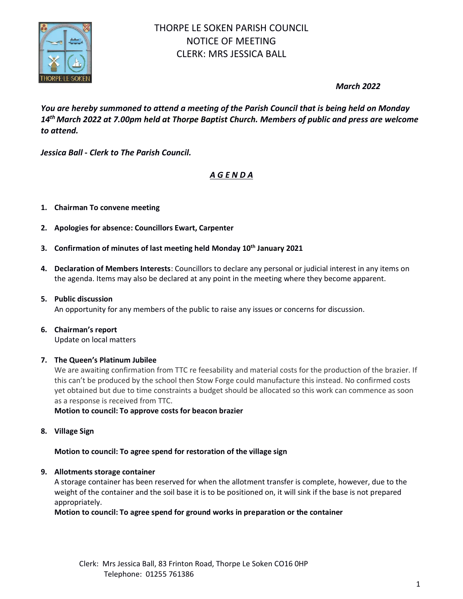

*March 2022*

*You are hereby summoned to attend a meeting of the Parish Council that is being held on Monday 14 th March 2022 at 7.00pm held at Thorpe Baptist Church. Members of public and press are welcome to attend.*

*Jessica Ball* **-** *Clerk to The Parish Council.*

# *A G E N D A*

### **1. Chairman To convene meeting**

- **2. Apologies for absence: Councillors Ewart, Carpenter**
- **3. Confirmation of minutes of last meeting held Monday 10 th January 2021**
- **4. Declaration of Members Interests**: Councillors to declare any personal or judicial interest in any items on the agenda. Items may also be declared at any point in the meeting where they become apparent.
- **5. Public discussion**

An opportunity for any members of the public to raise any issues or concerns for discussion.

# **6. Chairman's report**

Update on local matters

#### **7. The Queen's Platinum Jubilee**

We are awaiting confirmation from TTC re feesability and material costs for the production of the brazier. If this can't be produced by the school then Stow Forge could manufacture this instead. No confirmed costs yet obtained but due to time constraints a budget should be allocated so this work can commence as soon as a response is received from TTC.

**Motion to council: To approve costs for beacon brazier**

**8. Village Sign**

### **Motion to council: To agree spend for restoration of the village sign**

### **9. Allotments storage container**

A storage container has been reserved for when the allotment transfer is complete, however, due to the weight of the container and the soil base it is to be positioned on, it will sink if the base is not prepared appropriately.

**Motion to council: To agree spend for ground works in preparation or the container**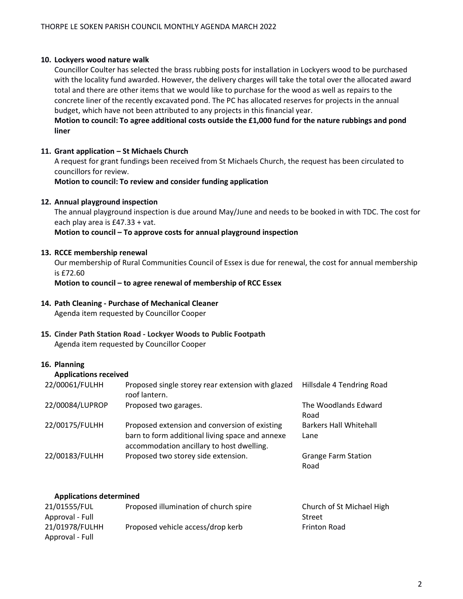#### **10. Lockyers wood nature walk**

Councillor Coulter has selected the brass rubbing posts for installation in Lockyers wood to be purchased with the locality fund awarded. However, the delivery charges will take the total over the allocated award total and there are other items that we would like to purchase for the wood as well as repairs to the concrete liner of the recently excavated pond. The PC has allocated reserves for projects in the annual budget, which have not been attributed to any projects in this financial year.

**Motion to council: To agree additional costs outside the £1,000 fund for the nature rubbings and pond liner**

#### **11. Grant application – St Michaels Church**

A request for grant fundings been received from St Michaels Church, the request has been circulated to councillors for review.

**Motion to council: To review and consider funding application**

#### **12. Annual playground inspection**

The annual playground inspection is due around May/June and needs to be booked in with TDC. The cost for each play area is £47.33 + vat.

#### **Motion to council – To approve costs for annual playground inspection**

#### **13. RCCE membership renewal**

Our membership of Rural Communities Council of Essex is due for renewal, the cost for annual membership is £72.60

**Motion to council – to agree renewal of membership of RCC Essex**

#### **14. Path Cleaning - Purchase of Mechanical Cleaner** Agenda item requested by Councillor Cooper

**15. Cinder Path Station Road - Lockyer Woods to Public Footpath** Agenda item requested by Councillor Cooper

#### **16. Planning**

#### **Applications received**

| 22/00061/FULHH  | Proposed single storey rear extension with glazed<br>roof lantern.                                                                            | Hillsdale 4 Tendring Road             |
|-----------------|-----------------------------------------------------------------------------------------------------------------------------------------------|---------------------------------------|
| 22/00084/LUPROP | Proposed two garages.                                                                                                                         | The Woodlands Edward<br>Road          |
| 22/00175/FULHH  | Proposed extension and conversion of existing<br>barn to form additional living space and annexe<br>accommodation ancillary to host dwelling. | <b>Barkers Hall Whitehall</b><br>Lane |
| 22/00183/FULHH  | Proposed two storey side extension.                                                                                                           | <b>Grange Farm Station</b><br>Road    |

#### **Applications determined**

| 21/01555/FUL    | Proposed illumination of church spire | Church of St Michael High |
|-----------------|---------------------------------------|---------------------------|
| Approval - Full |                                       | Street                    |
| 21/01978/FULHH  | Proposed vehicle access/drop kerb     | <b>Frinton Road</b>       |
| Approval - Full |                                       |                           |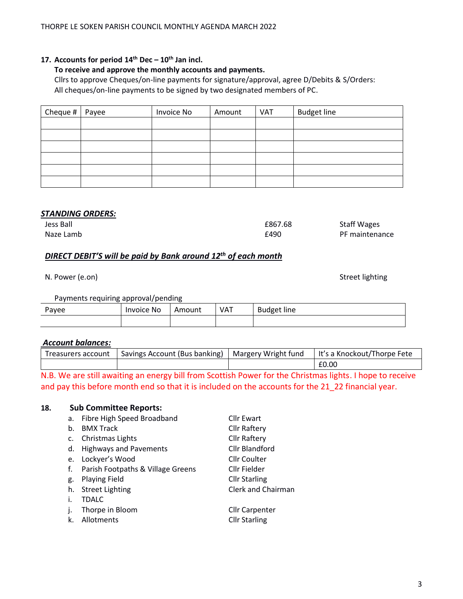3

# **17. Accounts for period 14th Dec – 10 th Jan incl.**

### **To receive and approve the monthly accounts and payments.**

Cllrs to approve Cheques/on-line payments for signature/approval, agree D/Debits & S/Orders: All cheques/on-line payments to be signed by two designated members of PC.

| Cheque $#$ | Payee | Invoice No | Amount | VAT | <b>Budget line</b> |
|------------|-------|------------|--------|-----|--------------------|
|            |       |            |        |     |                    |
|            |       |            |        |     |                    |
|            |       |            |        |     |                    |
|            |       |            |        |     |                    |
|            |       |            |        |     |                    |
|            |       |            |        |     |                    |

# *STANDING ORDERS:*

| Jess Ball | £867.68 | <b>Staff Wages</b> |
|-----------|---------|--------------------|
| Naze Lamb | £490    | PF maintenance     |

# *DIRECT DEBIT'S will be paid by Bank around 12th of each month*

N. Power (e.on) Street lighting

| Payments requiring approval/pending |
|-------------------------------------|
|-------------------------------------|

| Payee | Invoice No | Amount | <b>VAT</b> | <b>Budget line</b> |
|-------|------------|--------|------------|--------------------|
|       |            |        |            |                    |

### *Account balances:*

| Treasurers account | Savings Account (Bus banking)   Margery Wright fund | l It's a Knockout/Thorpe Fete |
|--------------------|-----------------------------------------------------|-------------------------------|
|                    |                                                     | £0.00                         |

N.B. We are still awaiting an energy bill from Scottish Power for the Christmas lights. I hope to receive and pay this before month end so that it is included on the accounts for the 21\_22 financial year.

### **18. Sub Committee Reports:**

| a. | Fibre High Speed Broadband        | <b>Cllr Ewart</b>     |
|----|-----------------------------------|-----------------------|
| b. | <b>BMX Track</b>                  | Cllr Raftery          |
| c. | Christmas Lights                  | <b>Cllr Raftery</b>   |
| d. | <b>Highways and Pavements</b>     | Cllr Blandford        |
| e. | Lockyer's Wood                    | <b>Cllr Coulter</b>   |
| f. | Parish Footpaths & Village Greens | Cllr Fielder          |
| g. | <b>Playing Field</b>              | <b>Cllr Starling</b>  |
| h. | <b>Street Lighting</b>            | Clerk and Chairman    |
| i. | <b>TDALC</b>                      |                       |
| j. | Thorpe in Bloom                   | <b>Cllr Carpenter</b> |
| k. | Allotments                        | <b>Cllr Starling</b>  |